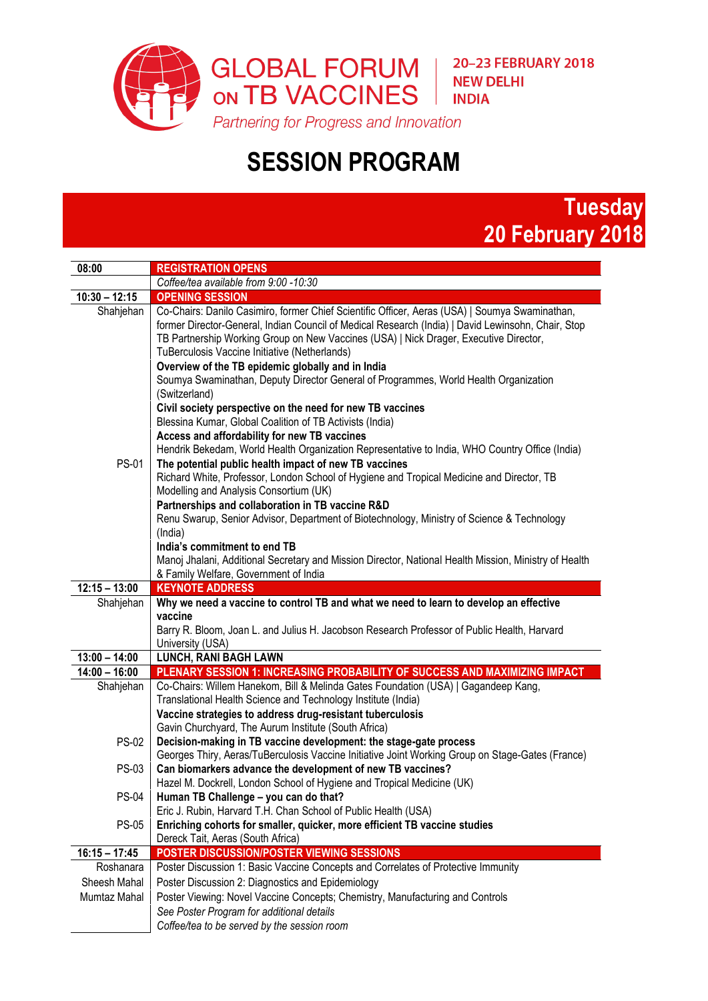

## **SESSION PROGRAM**

## **Tuesday 20 February 2018**

| 08:00           | <b>REGISTRATION OPENS</b>                                                                                                                                                                                                                                                                                                                                                                                                                                                                                                                                                                                                                                                                 |
|-----------------|-------------------------------------------------------------------------------------------------------------------------------------------------------------------------------------------------------------------------------------------------------------------------------------------------------------------------------------------------------------------------------------------------------------------------------------------------------------------------------------------------------------------------------------------------------------------------------------------------------------------------------------------------------------------------------------------|
|                 | Coffee/tea available from 9:00 -10:30                                                                                                                                                                                                                                                                                                                                                                                                                                                                                                                                                                                                                                                     |
| $10:30 - 12:15$ | <b>OPENING SESSION</b>                                                                                                                                                                                                                                                                                                                                                                                                                                                                                                                                                                                                                                                                    |
| Shahjehan       | Co-Chairs: Danilo Casimiro, former Chief Scientific Officer, Aeras (USA)   Soumya Swaminathan,<br>former Director-General, Indian Council of Medical Research (India)   David Lewinsohn, Chair, Stop<br>TB Partnership Working Group on New Vaccines (USA)   Nick Drager, Executive Director,<br>TuBerculosis Vaccine Initiative (Netherlands)                                                                                                                                                                                                                                                                                                                                            |
| <b>PS-01</b>    | Overview of the TB epidemic globally and in India<br>Soumya Swaminathan, Deputy Director General of Programmes, World Health Organization<br>(Switzerland)<br>Civil society perspective on the need for new TB vaccines<br>Blessina Kumar, Global Coalition of TB Activists (India)<br>Access and affordability for new TB vaccines<br>Hendrik Bekedam, World Health Organization Representative to India, WHO Country Office (India)<br>The potential public health impact of new TB vaccines<br>Richard White, Professor, London School of Hygiene and Tropical Medicine and Director, TB<br>Modelling and Analysis Consortium (UK)<br>Partnerships and collaboration in TB vaccine R&D |
|                 | Renu Swarup, Senior Advisor, Department of Biotechnology, Ministry of Science & Technology<br>(India)<br>India's commitment to end TB<br>Manoj Jhalani, Additional Secretary and Mission Director, National Health Mission, Ministry of Health<br>& Family Welfare, Government of India                                                                                                                                                                                                                                                                                                                                                                                                   |
| $12:15 - 13:00$ | <b>KEYNOTE ADDRESS</b>                                                                                                                                                                                                                                                                                                                                                                                                                                                                                                                                                                                                                                                                    |
|                 |                                                                                                                                                                                                                                                                                                                                                                                                                                                                                                                                                                                                                                                                                           |
| Shahjehan       | Why we need a vaccine to control TB and what we need to learn to develop an effective                                                                                                                                                                                                                                                                                                                                                                                                                                                                                                                                                                                                     |
|                 | vaccine<br>Barry R. Bloom, Joan L. and Julius H. Jacobson Research Professor of Public Health, Harvard<br>University (USA)                                                                                                                                                                                                                                                                                                                                                                                                                                                                                                                                                                |
| $13:00 - 14:00$ | <b>LUNCH, RANI BAGH LAWN</b>                                                                                                                                                                                                                                                                                                                                                                                                                                                                                                                                                                                                                                                              |
| $14:00 - 16:00$ | PLENARY SESSION 1: INCREASING PROBABILITY OF SUCCESS AND MAXIMIZING IMPACT                                                                                                                                                                                                                                                                                                                                                                                                                                                                                                                                                                                                                |
| Shahjehan       | Co-Chairs: Willem Hanekom, Bill & Melinda Gates Foundation (USA)   Gagandeep Kang,<br>Translational Health Science and Technology Institute (India)<br>Vaccine strategies to address drug-resistant tuberculosis                                                                                                                                                                                                                                                                                                                                                                                                                                                                          |
| <b>PS-02</b>    | Gavin Churchyard, The Aurum Institute (South Africa)<br>Decision-making in TB vaccine development: the stage-gate process                                                                                                                                                                                                                                                                                                                                                                                                                                                                                                                                                                 |
| <b>PS-03</b>    | Georges Thiry, Aeras/TuBerculosis Vaccine Initiative Joint Working Group on Stage-Gates (France)<br>Can biomarkers advance the development of new TB vaccines?                                                                                                                                                                                                                                                                                                                                                                                                                                                                                                                            |
| $PS-04$         | Hazel M. Dockrell, London School of Hygiene and Tropical Medicine (UK)<br>Human TB Challenge - you can do that?                                                                                                                                                                                                                                                                                                                                                                                                                                                                                                                                                                           |
| <b>PS-05</b>    | Eric J. Rubin, Harvard T.H. Chan School of Public Health (USA)<br>Enriching cohorts for smaller, quicker, more efficient TB vaccine studies<br>Dereck Tait, Aeras (South Africa)                                                                                                                                                                                                                                                                                                                                                                                                                                                                                                          |
| $16:15 - 17:45$ | POSTER DISCUSSION/POSTER VIEWING SESSIONS                                                                                                                                                                                                                                                                                                                                                                                                                                                                                                                                                                                                                                                 |
| Roshanara       | Poster Discussion 1: Basic Vaccine Concepts and Correlates of Protective Immunity                                                                                                                                                                                                                                                                                                                                                                                                                                                                                                                                                                                                         |
| Sheesh Mahal    | Poster Discussion 2: Diagnostics and Epidemiology                                                                                                                                                                                                                                                                                                                                                                                                                                                                                                                                                                                                                                         |
| Mumtaz Mahal    | Poster Viewing: Novel Vaccine Concepts; Chemistry, Manufacturing and Controls                                                                                                                                                                                                                                                                                                                                                                                                                                                                                                                                                                                                             |
|                 | See Poster Program for additional details                                                                                                                                                                                                                                                                                                                                                                                                                                                                                                                                                                                                                                                 |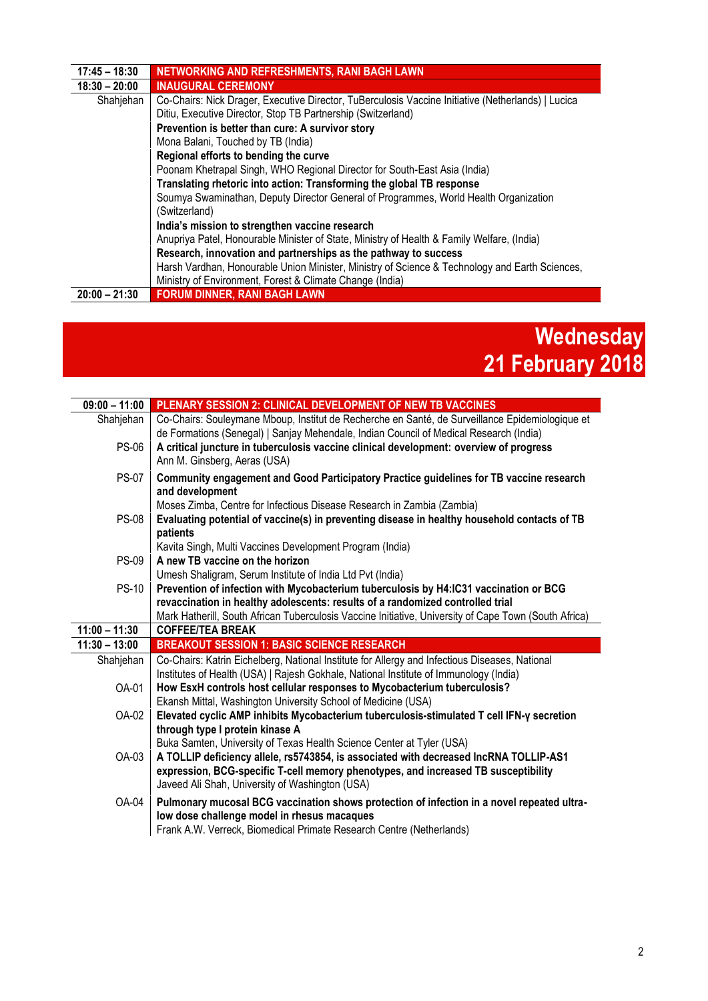| $17:45 - 18:30$ | NETWORKING AND REFRESHMENTS, RANI BAGH LAWN                                                        |
|-----------------|----------------------------------------------------------------------------------------------------|
| $18:30 - 20:00$ | <b>INAUGURAL CEREMONY</b>                                                                          |
| Shahjehan       | Co-Chairs: Nick Drager, Executive Director, TuBerculosis Vaccine Initiative (Netherlands)   Lucica |
|                 | Ditiu, Executive Director, Stop TB Partnership (Switzerland)                                       |
|                 | Prevention is better than cure: A survivor story                                                   |
|                 | Mona Balani, Touched by TB (India)                                                                 |
|                 | Regional efforts to bending the curve                                                              |
|                 | Poonam Khetrapal Singh, WHO Regional Director for South-East Asia (India)                          |
|                 | Translating rhetoric into action: Transforming the global TB response                              |
|                 | Soumya Swaminathan, Deputy Director General of Programmes, World Health Organization               |
|                 | (Switzerland)                                                                                      |
|                 | India's mission to strengthen vaccine research                                                     |
|                 | Anupriya Patel, Honourable Minister of State, Ministry of Health & Family Welfare, (India)         |
|                 | Research, innovation and partnerships as the pathway to success                                    |
|                 | Harsh Vardhan, Honourable Union Minister, Ministry of Science & Technology and Earth Sciences,     |
|                 | Ministry of Environment, Forest & Climate Change (India)                                           |
| $20:00 - 21:30$ | <b>FORUM DINNER, RANI BAGH LAWN</b>                                                                |

## **Wednesday 21 February 2018**

| $09:00 - 11:00$ | PLENARY SESSION 2: CLINICAL DEVELOPMENT OF NEW TB VACCINES                                                                                                                                |
|-----------------|-------------------------------------------------------------------------------------------------------------------------------------------------------------------------------------------|
| Shahjehan       | Co-Chairs: Souleymane Mboup, Institut de Recherche en Santé, de Surveillance Epidemiologique et<br>de Formations (Senegal)   Sanjay Mehendale, Indian Council of Medical Research (India) |
| <b>PS-06</b>    | A critical juncture in tuberculosis vaccine clinical development: overview of progress<br>Ann M. Ginsberg, Aeras (USA)                                                                    |
| <b>PS-07</b>    | Community engagement and Good Participatory Practice guidelines for TB vaccine research<br>and development                                                                                |
|                 | Moses Zimba, Centre for Infectious Disease Research in Zambia (Zambia)                                                                                                                    |
| <b>PS-08</b>    | Evaluating potential of vaccine(s) in preventing disease in healthy household contacts of TB<br>patients                                                                                  |
|                 | Kavita Singh, Multi Vaccines Development Program (India)                                                                                                                                  |
| <b>PS-09</b>    | A new TB vaccine on the horizon                                                                                                                                                           |
| <b>PS-10</b>    | Umesh Shaligram, Serum Institute of India Ltd Pvt (India)<br>Prevention of infection with Mycobacterium tuberculosis by H4:IC31 vaccination or BCG                                        |
|                 | revaccination in healthy adolescents: results of a randomized controlled trial                                                                                                            |
|                 | Mark Hatherill, South African Tuberculosis Vaccine Initiative, University of Cape Town (South Africa)                                                                                     |
| $11:00 - 11:30$ | <b>COFFEE/TEA BREAK</b>                                                                                                                                                                   |
| $11:30 - 13:00$ | <b>BREAKOUT SESSION 1: BASIC SCIENCE RESEARCH</b>                                                                                                                                         |
| Shahjehan       | Co-Chairs: Katrin Eichelberg, National Institute for Allergy and Infectious Diseases, National                                                                                            |
|                 | Institutes of Health (USA)   Rajesh Gokhale, National Institute of Immunology (India)                                                                                                     |
| OA-01           | How EsxH controls host cellular responses to Mycobacterium tuberculosis?                                                                                                                  |
| OA-02           | Ekansh Mittal, Washington University School of Medicine (USA)<br>Elevated cyclic AMP inhibits Mycobacterium tuberculosis-stimulated T cell IFN-y secretion                                |
|                 | through type I protein kinase A                                                                                                                                                           |
|                 | Buka Samten, University of Texas Health Science Center at Tyler (USA)                                                                                                                     |
| OA-03           | A TOLLIP deficiency allele, rs5743854, is associated with decreased IncRNA TOLLIP-AS1                                                                                                     |
|                 | expression, BCG-specific T-cell memory phenotypes, and increased TB susceptibility<br>Javeed Ali Shah, University of Washington (USA)                                                     |
| OA-04           | Pulmonary mucosal BCG vaccination shows protection of infection in a novel repeated ultra-                                                                                                |
|                 | low dose challenge model in rhesus macaques<br>Frank A.W. Verreck, Biomedical Primate Research Centre (Netherlands)                                                                       |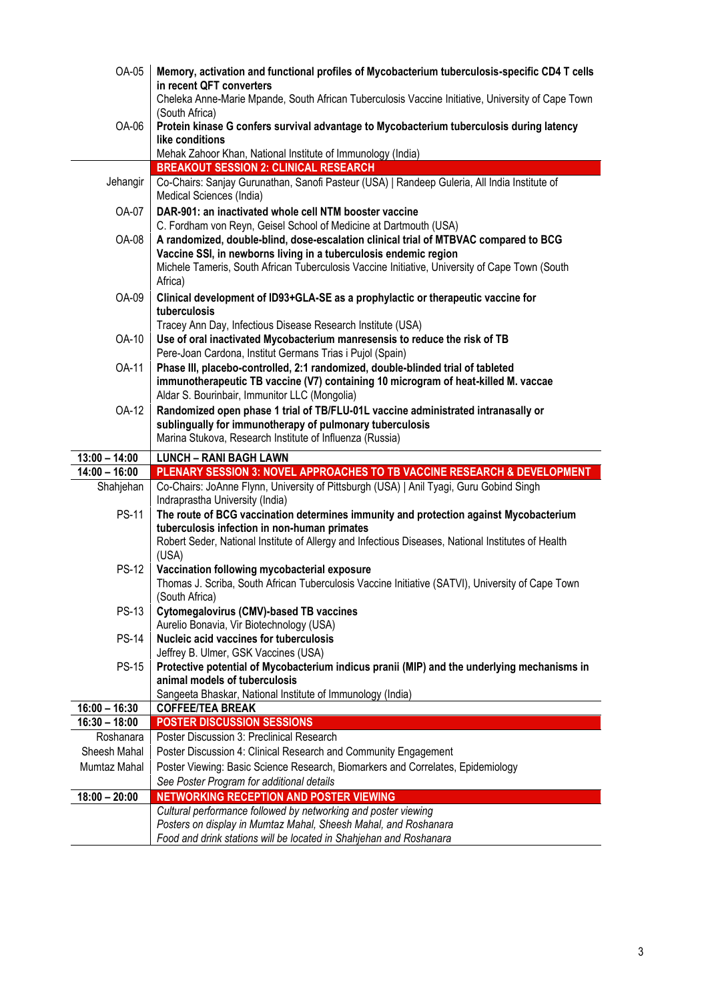| OA-05           | Memory, activation and functional profiles of Mycobacterium tuberculosis-specific CD4 T cells<br>in recent QFT converters<br>Cheleka Anne-Marie Mpande, South African Tuberculosis Vaccine Initiative, University of Cape Town                                                                                                  |
|-----------------|---------------------------------------------------------------------------------------------------------------------------------------------------------------------------------------------------------------------------------------------------------------------------------------------------------------------------------|
| OA-06           | (South Africa)<br>Protein kinase G confers survival advantage to Mycobacterium tuberculosis during latency<br>like conditions                                                                                                                                                                                                   |
|                 | Mehak Zahoor Khan, National Institute of Immunology (India)                                                                                                                                                                                                                                                                     |
|                 | <b>BREAKOUT SESSION 2: CLINICAL RESEARCH</b>                                                                                                                                                                                                                                                                                    |
| Jehangir        | Co-Chairs: Sanjay Gurunathan, Sanofi Pasteur (USA)   Randeep Guleria, All India Institute of<br>Medical Sciences (India)                                                                                                                                                                                                        |
| OA-07           | DAR-901: an inactivated whole cell NTM booster vaccine                                                                                                                                                                                                                                                                          |
| <b>OA-08</b>    | C. Fordham von Reyn, Geisel School of Medicine at Dartmouth (USA)<br>A randomized, double-blind, dose-escalation clinical trial of MTBVAC compared to BCG<br>Vaccine SSI, in newborns living in a tuberculosis endemic region<br>Michele Tameris, South African Tuberculosis Vaccine Initiative, University of Cape Town (South |
|                 | Africa)                                                                                                                                                                                                                                                                                                                         |
| OA-09           | Clinical development of ID93+GLA-SE as a prophylactic or therapeutic vaccine for<br>tuberculosis                                                                                                                                                                                                                                |
|                 | Tracey Ann Day, Infectious Disease Research Institute (USA)                                                                                                                                                                                                                                                                     |
| OA-10           | Use of oral inactivated Mycobacterium manresensis to reduce the risk of TB<br>Pere-Joan Cardona, Institut Germans Trias i Pujol (Spain)                                                                                                                                                                                         |
| OA-11           | Phase III, placebo-controlled, 2:1 randomized, double-blinded trial of tableted<br>immunotherapeutic TB vaccine (V7) containing 10 microgram of heat-killed M. vaccae<br>Aldar S. Bourinbair, Immunitor LLC (Mongolia)                                                                                                          |
| OA-12           | Randomized open phase 1 trial of TB/FLU-01L vaccine administrated intranasally or                                                                                                                                                                                                                                               |
|                 | sublingually for immunotherapy of pulmonary tuberculosis<br>Marina Stukova, Research Institute of Influenza (Russia)                                                                                                                                                                                                            |
|                 |                                                                                                                                                                                                                                                                                                                                 |
| $13:00 - 14:00$ | <b>LUNCH - RANI BAGH LAWN</b>                                                                                                                                                                                                                                                                                                   |
| $14:00 - 16:00$ | PLENARY SESSION 3: NOVEL APPROACHES TO TB VACCINE RESEARCH & DEVELOPMENT                                                                                                                                                                                                                                                        |
| Shahjehan       | Co-Chairs: JoAnne Flynn, University of Pittsburgh (USA)   Anil Tyagi, Guru Gobind Singh<br>Indraprastha University (India)                                                                                                                                                                                                      |
| <b>PS-11</b>    | The route of BCG vaccination determines immunity and protection against Mycobacterium                                                                                                                                                                                                                                           |
|                 | tuberculosis infection in non-human primates                                                                                                                                                                                                                                                                                    |
|                 | Robert Seder, National Institute of Allergy and Infectious Diseases, National Institutes of Health                                                                                                                                                                                                                              |
| <b>PS-12</b>    | (USA)                                                                                                                                                                                                                                                                                                                           |
|                 | Vaccination following mycobacterial exposure<br>Thomas J. Scriba, South African Tuberculosis Vaccine Initiative (SATVI), University of Cape Town                                                                                                                                                                                |
|                 | (South Africa)                                                                                                                                                                                                                                                                                                                  |
| <b>PS-13</b>    | Cytomegalovirus (CMV)-based TB vaccines                                                                                                                                                                                                                                                                                         |
|                 | Aurelio Bonavia, Vir Biotechnology (USA)                                                                                                                                                                                                                                                                                        |
| <b>PS-14</b>    | Nucleic acid vaccines for tuberculosis                                                                                                                                                                                                                                                                                          |
| <b>PS-15</b>    | Jeffrey B. Ulmer, GSK Vaccines (USA)<br>Protective potential of Mycobacterium indicus pranii (MIP) and the underlying mechanisms in                                                                                                                                                                                             |
|                 | animal models of tuberculosis                                                                                                                                                                                                                                                                                                   |
|                 | Sangeeta Bhaskar, National Institute of Immunology (India)                                                                                                                                                                                                                                                                      |
| $16:00 - 16:30$ | <b>COFFEE/TEA BREAK</b>                                                                                                                                                                                                                                                                                                         |
| $16:30 - 18:00$ | <b>POSTER DISCUSSION SESSIONS</b>                                                                                                                                                                                                                                                                                               |
| Roshanara       | Poster Discussion 3: Preclinical Research                                                                                                                                                                                                                                                                                       |
| Sheesh Mahal    | Poster Discussion 4: Clinical Research and Community Engagement                                                                                                                                                                                                                                                                 |
| Mumtaz Mahal    | Poster Viewing: Basic Science Research, Biomarkers and Correlates, Epidemiology                                                                                                                                                                                                                                                 |
| $18:00 - 20:00$ | See Poster Program for additional details<br>NETWORKING RECEPTION AND POSTER VIEWING                                                                                                                                                                                                                                            |
|                 | Cultural performance followed by networking and poster viewing                                                                                                                                                                                                                                                                  |
|                 | Posters on display in Mumtaz Mahal, Sheesh Mahal, and Roshanara<br>Food and drink stations will be located in Shahjehan and Roshanara                                                                                                                                                                                           |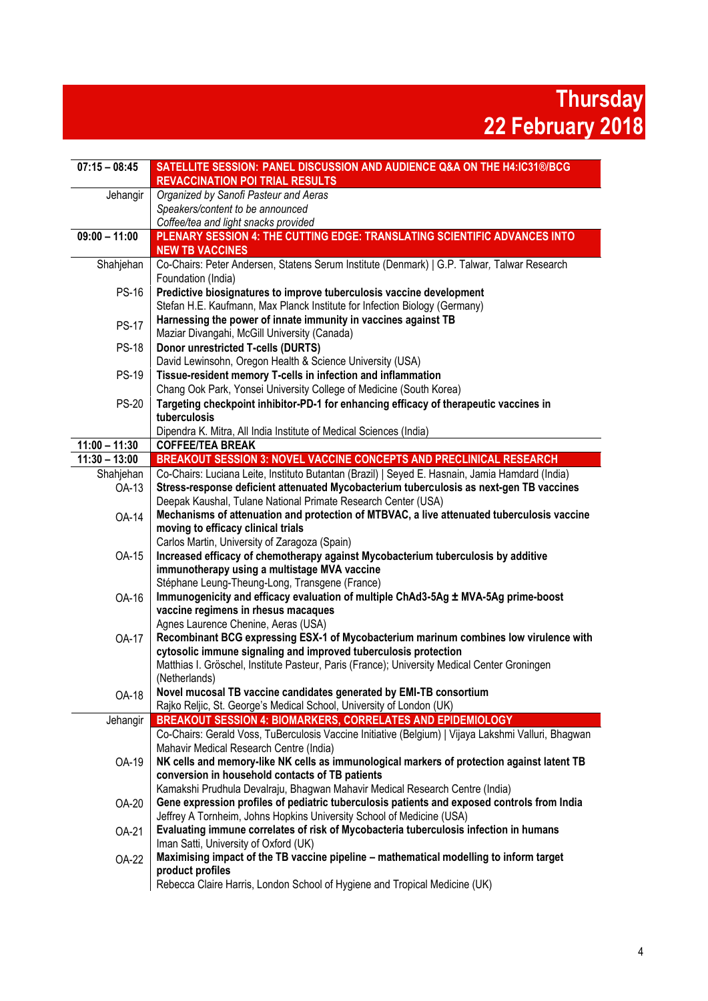**Thursday 22 February 2018**

| $07:15 - 08:45$                    | SATELLITE SESSION: PANEL DISCUSSION AND AUDIENCE Q&A ON THE H4:IC31®/BCG                                                                                                                   |
|------------------------------------|--------------------------------------------------------------------------------------------------------------------------------------------------------------------------------------------|
|                                    | <b>REVACCINATION POI TRIAL RESULTS</b>                                                                                                                                                     |
| Jehangir                           | Organized by Sanofi Pasteur and Aeras                                                                                                                                                      |
|                                    | Speakers/content to be announced                                                                                                                                                           |
|                                    | Coffee/tea and light snacks provided                                                                                                                                                       |
| $09:00 - 11:00$                    | PLENARY SESSION 4: THE CUTTING EDGE: TRANSLATING SCIENTIFIC ADVANCES INTO<br><b>NEW TB VACCINES</b>                                                                                        |
| Shahjehan                          | Co-Chairs: Peter Andersen, Statens Serum Institute (Denmark)   G.P. Talwar, Talwar Research                                                                                                |
|                                    | Foundation (India)                                                                                                                                                                         |
| <b>PS-16</b>                       | Predictive biosignatures to improve tuberculosis vaccine development                                                                                                                       |
|                                    | Stefan H.E. Kaufmann, Max Planck Institute for Infection Biology (Germany)                                                                                                                 |
| <b>PS-17</b>                       | Harnessing the power of innate immunity in vaccines against TB<br>Maziar Divangahi, McGill University (Canada)                                                                             |
| <b>PS-18</b>                       | <b>Donor unrestricted T-cells (DURTS)</b>                                                                                                                                                  |
|                                    | David Lewinsohn, Oregon Health & Science University (USA)                                                                                                                                  |
| <b>PS-19</b>                       | Tissue-resident memory T-cells in infection and inflammation                                                                                                                               |
|                                    | Chang Ook Park, Yonsei University College of Medicine (South Korea)                                                                                                                        |
| <b>PS-20</b>                       | Targeting checkpoint inhibitor-PD-1 for enhancing efficacy of therapeutic vaccines in                                                                                                      |
|                                    | tuberculosis                                                                                                                                                                               |
|                                    | Dipendra K. Mitra, All India Institute of Medical Sciences (India)                                                                                                                         |
| $11:00 - 11:30$<br>$11:30 - 13:00$ | <b>COFFEE/TEA BREAK</b>                                                                                                                                                                    |
|                                    | BREAKOUT SESSION 3: NOVEL VACCINE CONCEPTS AND PRECLINICAL RESEARCH                                                                                                                        |
| Shahjehan<br>OA-13                 | Co-Chairs: Luciana Leite, Instituto Butantan (Brazil)   Seyed E. Hasnain, Jamia Hamdard (India)<br>Stress-response deficient attenuated Mycobacterium tuberculosis as next-gen TB vaccines |
|                                    | Deepak Kaushal, Tulane National Primate Research Center (USA)                                                                                                                              |
| <b>OA-14</b>                       | Mechanisms of attenuation and protection of MTBVAC, a live attenuated tuberculosis vaccine                                                                                                 |
|                                    | moving to efficacy clinical trials                                                                                                                                                         |
|                                    | Carlos Martin, University of Zaragoza (Spain)                                                                                                                                              |
| OA-15                              | Increased efficacy of chemotherapy against Mycobacterium tuberculosis by additive                                                                                                          |
|                                    | immunotherapy using a multistage MVA vaccine                                                                                                                                               |
|                                    | Stéphane Leung-Theung-Long, Transgene (France)                                                                                                                                             |
| OA-16                              | Immunogenicity and efficacy evaluation of multiple ChAd3-5Ag ± MVA-5Ag prime-boost                                                                                                         |
|                                    | vaccine regimens in rhesus macaques                                                                                                                                                        |
|                                    | Agnes Laurence Chenine, Aeras (USA)                                                                                                                                                        |
| <b>OA-17</b>                       | Recombinant BCG expressing ESX-1 of Mycobacterium marinum combines low virulence with                                                                                                      |
|                                    | cytosolic immune signaling and improved tuberculosis protection<br>Matthias I. Gröschel, Institute Pasteur, Paris (France); University Medical Center Groningen                            |
|                                    | (Netherlands)                                                                                                                                                                              |
|                                    | Novel mucosal TB vaccine candidates generated by EMI-TB consortium                                                                                                                         |
| <b>OA-18</b>                       | Rajko Reljic, St. George's Medical School, University of London (UK)                                                                                                                       |
| Jehangir                           | BREAKOUT SESSION 4: BIOMARKERS, CORRELATES AND EPIDEMIOLOGY                                                                                                                                |
|                                    | Co-Chairs: Gerald Voss, TuBerculosis Vaccine Initiative (Belgium)   Vijaya Lakshmi Valluri, Bhagwan                                                                                        |
|                                    | Mahavir Medical Research Centre (India)                                                                                                                                                    |
| OA-19                              | NK cells and memory-like NK cells as immunological markers of protection against latent TB                                                                                                 |
|                                    | conversion in household contacts of TB patients                                                                                                                                            |
|                                    | Kamakshi Prudhula Devalraju, Bhagwan Mahavir Medical Research Centre (India)                                                                                                               |
| OA-20                              | Gene expression profiles of pediatric tuberculosis patients and exposed controls from India                                                                                                |
|                                    | Jeffrey A Tornheim, Johns Hopkins University School of Medicine (USA)                                                                                                                      |
| OA-21                              | Evaluating immune correlates of risk of Mycobacteria tuberculosis infection in humans                                                                                                      |
|                                    | Iman Satti, University of Oxford (UK)                                                                                                                                                      |
| OA-22                              | Maximising impact of the TB vaccine pipeline - mathematical modelling to inform target                                                                                                     |
|                                    | product profiles                                                                                                                                                                           |
|                                    | Rebecca Claire Harris, London School of Hygiene and Tropical Medicine (UK)                                                                                                                 |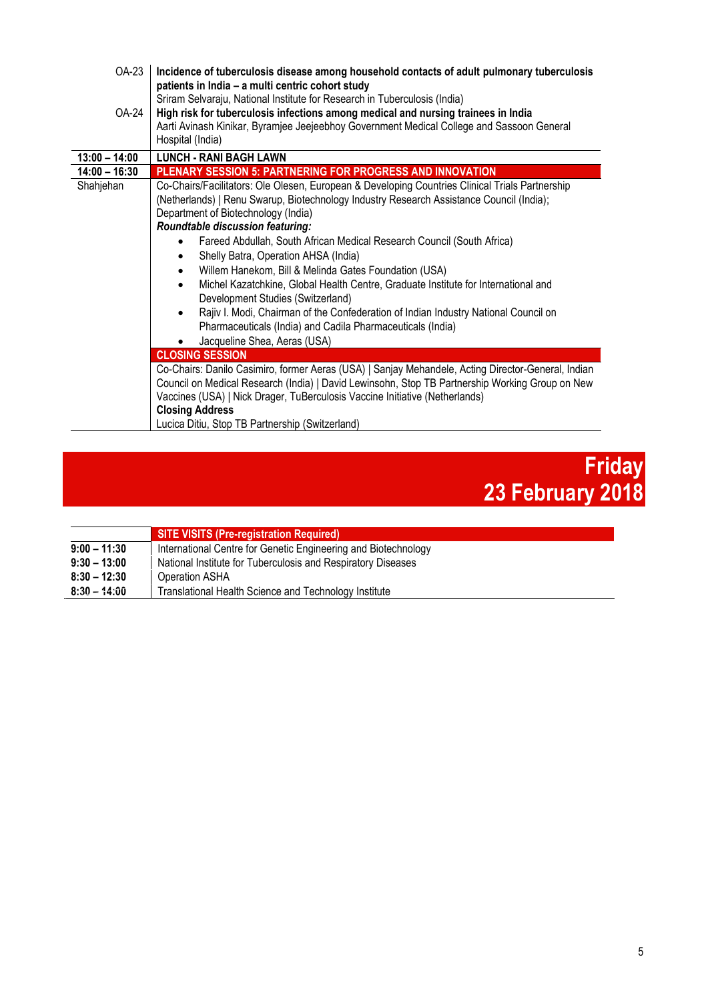| OA-23<br>OA-24  | Incidence of tuberculosis disease among household contacts of adult pulmonary tuberculosis<br>patients in India - a multi centric cohort study<br>Sriram Selvaraju, National Institute for Research in Tuberculosis (India)<br>High risk for tuberculosis infections among medical and nursing trainees in India<br>Aarti Avinash Kinikar, Byramjee Jeejeebhoy Government Medical College and Sassoon General<br>Hospital (India)                                                                                                                                                                                                                                                                                                                                                                                                                                                                                                                                                                                                                                                                                                                                                                                                 |
|-----------------|-----------------------------------------------------------------------------------------------------------------------------------------------------------------------------------------------------------------------------------------------------------------------------------------------------------------------------------------------------------------------------------------------------------------------------------------------------------------------------------------------------------------------------------------------------------------------------------------------------------------------------------------------------------------------------------------------------------------------------------------------------------------------------------------------------------------------------------------------------------------------------------------------------------------------------------------------------------------------------------------------------------------------------------------------------------------------------------------------------------------------------------------------------------------------------------------------------------------------------------|
| $13:00 - 14:00$ | <b>LUNCH - RANI BAGH LAWN</b>                                                                                                                                                                                                                                                                                                                                                                                                                                                                                                                                                                                                                                                                                                                                                                                                                                                                                                                                                                                                                                                                                                                                                                                                     |
| $14:00 - 16:30$ | PLENARY SESSION 5: PARTNERING FOR PROGRESS AND INNOVATION                                                                                                                                                                                                                                                                                                                                                                                                                                                                                                                                                                                                                                                                                                                                                                                                                                                                                                                                                                                                                                                                                                                                                                         |
| Shahjehan       | Co-Chairs/Facilitators: Ole Olesen, European & Developing Countries Clinical Trials Partnership<br>(Netherlands)   Renu Swarup, Biotechnology Industry Research Assistance Council (India);<br>Department of Biotechnology (India)<br>Roundtable discussion featuring:<br>Fareed Abdullah, South African Medical Research Council (South Africa)<br>$\bullet$<br>Shelly Batra, Operation AHSA (India)<br>$\bullet$<br>Willem Hanekom, Bill & Melinda Gates Foundation (USA)<br>$\bullet$<br>Michel Kazatchkine, Global Health Centre, Graduate Institute for International and<br>$\bullet$<br>Development Studies (Switzerland)<br>Rajiv I. Modi, Chairman of the Confederation of Indian Industry National Council on<br>$\bullet$<br>Pharmaceuticals (India) and Cadila Pharmaceuticals (India)<br>Jacqueline Shea, Aeras (USA)<br><b>CLOSING SESSION</b><br>Co-Chairs: Danilo Casimiro, former Aeras (USA)   Sanjay Mehandele, Acting Director-General, Indian<br>Council on Medical Research (India)   David Lewinsohn, Stop TB Partnership Working Group on New<br>Vaccines (USA)   Nick Drager, TuBerculosis Vaccine Initiative (Netherlands)<br><b>Closing Address</b><br>Lucica Ditiu, Stop TB Partnership (Switzerland) |



|                | <b>SITE VISITS (Pre-registration Required)</b>                 |
|----------------|----------------------------------------------------------------|
| $9:00 - 11:30$ | International Centre for Genetic Engineering and Biotechnology |
| $9:30 - 13:00$ | National Institute for Tuberculosis and Respiratory Diseases   |
| $8:30 - 12:30$ | Operation ASHA                                                 |
| $8:30 - 14:00$ | Translational Health Science and Technology Institute          |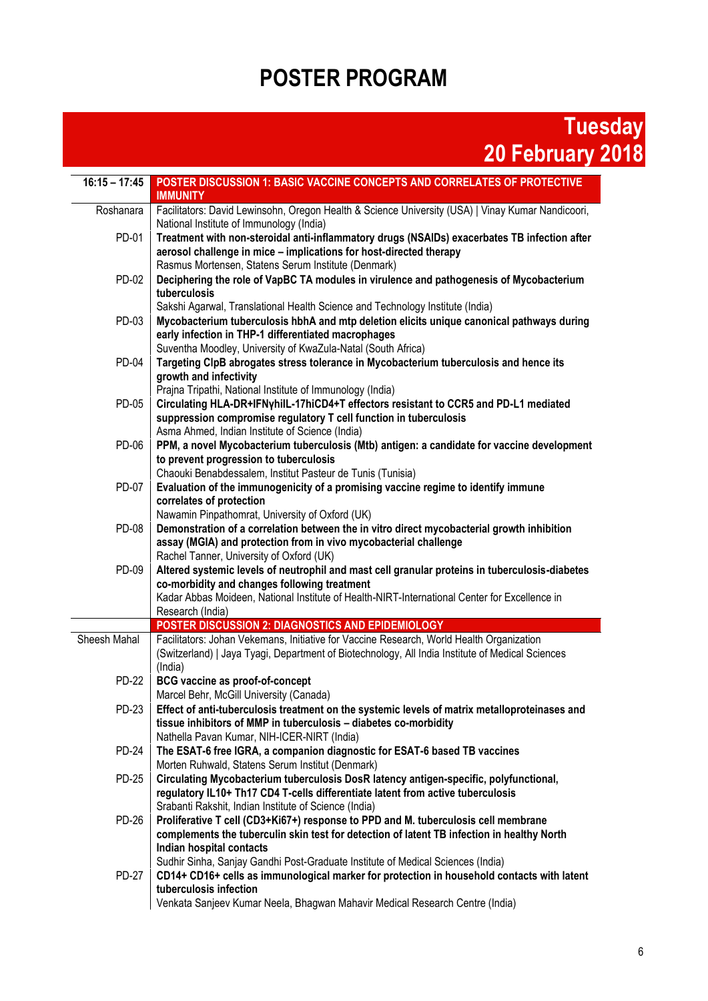# **POSTER PROGRAM**

## **Tuesday 20 February 2018**

| $16:15 - 17:45$ | POSTER DISCUSSION 1: BASIC VACCINE CONCEPTS AND CORRELATES OF PROTECTIVE<br><b>IMMUNITY</b>                                                                                                                                                                                             |
|-----------------|-----------------------------------------------------------------------------------------------------------------------------------------------------------------------------------------------------------------------------------------------------------------------------------------|
| Roshanara       | Facilitators: David Lewinsohn, Oregon Health & Science University (USA)   Vinay Kumar Nandicoori,<br>National Institute of Immunology (India)                                                                                                                                           |
| PD-01           | Treatment with non-steroidal anti-inflammatory drugs (NSAIDs) exacerbates TB infection after<br>aerosol challenge in mice - implications for host-directed therapy<br>Rasmus Mortensen, Statens Serum Institute (Denmark)                                                               |
| PD-02           | Deciphering the role of VapBC TA modules in virulence and pathogenesis of Mycobacterium<br>tuberculosis<br>Sakshi Agarwal, Translational Health Science and Technology Institute (India)                                                                                                |
| PD-03           | Mycobacterium tuberculosis hbhA and mtp deletion elicits unique canonical pathways during<br>early infection in THP-1 differentiated macrophages<br>Suventha Moodley, University of KwaZula-Natal (South Africa)                                                                        |
| <b>PD-04</b>    | Targeting ClpB abrogates stress tolerance in Mycobacterium tuberculosis and hence its<br>growth and infectivity<br>Prajna Tripathi, National Institute of Immunology (India)                                                                                                            |
| PD-05           | Circulating HLA-DR+IFNyhilL-17hiCD4+T effectors resistant to CCR5 and PD-L1 mediated<br>suppression compromise regulatory T cell function in tuberculosis<br>Asma Ahmed, Indian Institute of Science (India)                                                                            |
| PD-06           | PPM, a novel Mycobacterium tuberculosis (Mtb) antigen: a candidate for vaccine development<br>to prevent progression to tuberculosis<br>Chaouki Benabdessalem, Institut Pasteur de Tunis (Tunisia)                                                                                      |
| PD-07           | Evaluation of the immunogenicity of a promising vaccine regime to identify immune<br>correlates of protection<br>Nawamin Pinpathomrat, University of Oxford (UK)                                                                                                                        |
| <b>PD-08</b>    | Demonstration of a correlation between the in vitro direct mycobacterial growth inhibition<br>assay (MGIA) and protection from in vivo mycobacterial challenge<br>Rachel Tanner, University of Oxford (UK)                                                                              |
| PD-09           | Altered systemic levels of neutrophil and mast cell granular proteins in tuberculosis-diabetes<br>co-morbidity and changes following treatment<br>Kadar Abbas Moideen, National Institute of Health-NIRT-International Center for Excellence in                                         |
|                 | Research (India)                                                                                                                                                                                                                                                                        |
|                 | POSTER DISCUSSION 2: DIAGNOSTICS AND EPIDEMIOLOGY                                                                                                                                                                                                                                       |
| Sheesh Mahal    | Facilitators: Johan Vekemans, Initiative for Vaccine Research, World Health Organization<br>(Switzerland)   Jaya Tyagi, Department of Biotechnology, All India Institute of Medical Sciences<br>(India)                                                                                 |
| <b>PD-22</b>    | <b>BCG vaccine as proof-of-concept</b><br>Marcel Behr, McGill University (Canada)                                                                                                                                                                                                       |
| PD-23           | Effect of anti-tuberculosis treatment on the systemic levels of matrix metalloproteinases and<br>tissue inhibitors of MMP in tuberculosis - diabetes co-morbidity<br>Nathella Pavan Kumar, NIH-ICER-NIRT (India)                                                                        |
| <b>PD-24</b>    | The ESAT-6 free IGRA, a companion diagnostic for ESAT-6 based TB vaccines<br>Morten Ruhwald, Statens Serum Institut (Denmark)                                                                                                                                                           |
| PD-25           | Circulating Mycobacterium tuberculosis DosR latency antigen-specific, polyfunctional,<br>regulatory IL10+ Th17 CD4 T-cells differentiate latent from active tuberculosis<br>Srabanti Rakshit, Indian Institute of Science (India)                                                       |
| <b>PD-26</b>    | Proliferative T cell (CD3+Ki67+) response to PPD and M. tuberculosis cell membrane<br>complements the tuberculin skin test for detection of latent TB infection in healthy North<br>Indian hospital contacts                                                                            |
| <b>PD-27</b>    | Sudhir Sinha, Sanjay Gandhi Post-Graduate Institute of Medical Sciences (India)<br>CD14+ CD16+ cells as immunological marker for protection in household contacts with latent<br>tuberculosis infection<br>Venkata Sanjeev Kumar Neela, Bhagwan Mahavir Medical Research Centre (India) |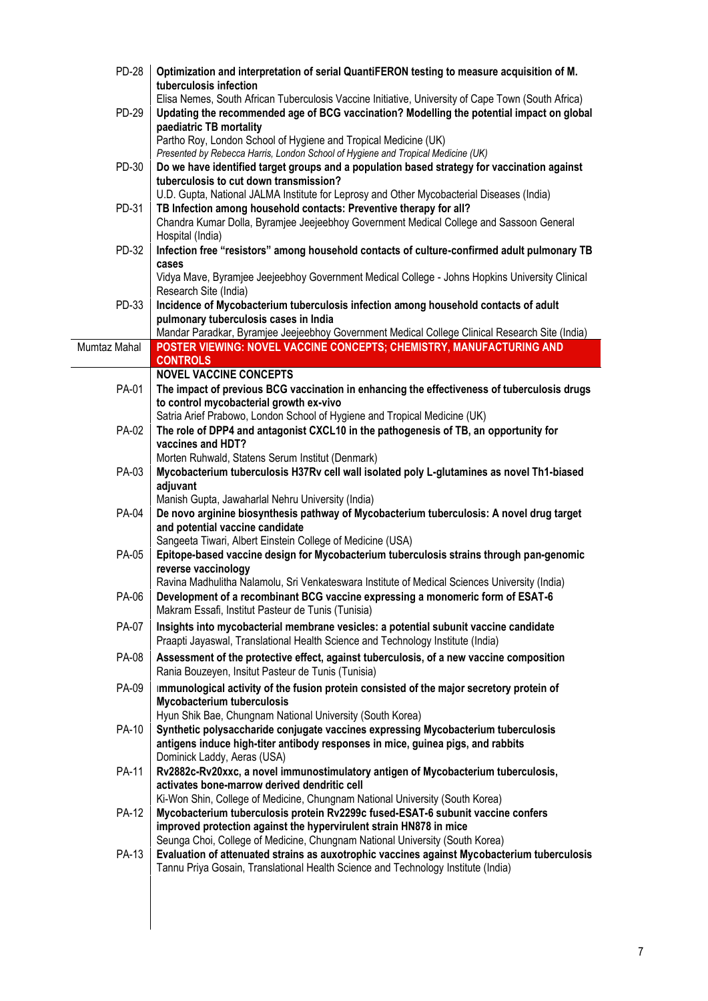| <b>PD-28</b> | Optimization and interpretation of serial QuantiFERON testing to measure acquisition of M.<br>tuberculosis infection<br>Elisa Nemes, South African Tuberculosis Vaccine Initiative, University of Cape Town (South Africa) |
|--------------|----------------------------------------------------------------------------------------------------------------------------------------------------------------------------------------------------------------------------|
| PD-29        | Updating the recommended age of BCG vaccination? Modelling the potential impact on global<br>paediatric TB mortality<br>Partho Roy, London School of Hygiene and Tropical Medicine (UK)                                    |
|              | Presented by Rebecca Harris, London School of Hygiene and Tropical Medicine (UK)                                                                                                                                           |
| PD-30        | Do we have identified target groups and a population based strategy for vaccination against                                                                                                                                |
|              | tuberculosis to cut down transmission?                                                                                                                                                                                     |
| PD-31        | U.D. Gupta, National JALMA Institute for Leprosy and Other Mycobacterial Diseases (India)<br>TB Infection among household contacts: Preventive therapy for all?                                                            |
|              | Chandra Kumar Dolla, Byramjee Jeejeebhoy Government Medical College and Sassoon General<br>Hospital (India)                                                                                                                |
| PD-32        | Infection free "resistors" among household contacts of culture-confirmed adult pulmonary TB<br>cases                                                                                                                       |
|              | Vidya Mave, Byramjee Jeejeebhoy Government Medical College - Johns Hopkins University Clinical<br>Research Site (India)                                                                                                    |
| PD-33        | Incidence of Mycobacterium tuberculosis infection among household contacts of adult                                                                                                                                        |
|              | pulmonary tuberculosis cases in India<br>Mandar Paradkar, Byramjee Jeejeebhoy Government Medical College Clinical Research Site (India)                                                                                    |
| Mumtaz Mahal | POSTER VIEWING: NOVEL VACCINE CONCEPTS; CHEMISTRY, MANUFACTURING AND                                                                                                                                                       |
|              | <b>CONTROLS</b>                                                                                                                                                                                                            |
|              | <b>NOVEL VACCINE CONCEPTS</b>                                                                                                                                                                                              |
| PA-01        | The impact of previous BCG vaccination in enhancing the effectiveness of tuberculosis drugs                                                                                                                                |
|              | to control mycobacterial growth ex-vivo                                                                                                                                                                                    |
| PA-02        | Satria Arief Prabowo, London School of Hygiene and Tropical Medicine (UK)<br>The role of DPP4 and antagonist CXCL10 in the pathogenesis of TB, an opportunity for                                                          |
|              | vaccines and HDT?                                                                                                                                                                                                          |
|              | Morten Ruhwald, Statens Serum Institut (Denmark)                                                                                                                                                                           |
| PA-03        | Mycobacterium tuberculosis H37Rv cell wall isolated poly L-glutamines as novel Th1-biased                                                                                                                                  |
|              | adjuvant                                                                                                                                                                                                                   |
|              | Manish Gupta, Jawaharlal Nehru University (India)                                                                                                                                                                          |
| PA-04        | De novo arginine biosynthesis pathway of Mycobacterium tuberculosis: A novel drug target<br>and potential vaccine candidate                                                                                                |
|              | Sangeeta Tiwari, Albert Einstein College of Medicine (USA)                                                                                                                                                                 |
| PA-05        | Epitope-based vaccine design for Mycobacterium tuberculosis strains through pan-genomic                                                                                                                                    |
|              | reverse vaccinology                                                                                                                                                                                                        |
|              | Ravina Madhulitha Nalamolu, Sri Venkateswara Institute of Medical Sciences University (India)                                                                                                                              |
| PA-06        | Development of a recombinant BCG vaccine expressing a monomeric form of ESAT-6<br>Makram Essafi, Institut Pasteur de Tunis (Tunisia)                                                                                       |
| PA-07        | Insights into mycobacterial membrane vesicles: a potential subunit vaccine candidate<br>Praapti Jayaswal, Translational Health Science and Technology Institute (India)                                                    |
| PA-08        | Assessment of the protective effect, against tuberculosis, of a new vaccine composition<br>Rania Bouzeyen, Insitut Pasteur de Tunis (Tunisia)                                                                              |
| PA-09        | Immunological activity of the fusion protein consisted of the major secretory protein of<br><b>Mycobacterium tuberculosis</b>                                                                                              |
| <b>PA-10</b> | Hyun Shik Bae, Chungnam National University (South Korea)<br>Synthetic polysaccharide conjugate vaccines expressing Mycobacterium tuberculosis                                                                             |
|              | antigens induce high-titer antibody responses in mice, guinea pigs, and rabbits<br>Dominick Laddy, Aeras (USA)                                                                                                             |
| <b>PA-11</b> | Rv2882c-Rv20xxc, a novel immunostimulatory antigen of Mycobacterium tuberculosis,                                                                                                                                          |
|              | activates bone-marrow derived dendritic cell<br>Ki-Won Shin, College of Medicine, Chungnam National University (South Korea)                                                                                               |
| <b>PA-12</b> | Mycobacterium tuberculosis protein Rv2299c fused-ESAT-6 subunit vaccine confers                                                                                                                                            |
|              | improved protection against the hypervirulent strain HN878 in mice                                                                                                                                                         |
|              | Seunga Choi, College of Medicine, Chungnam National University (South Korea)                                                                                                                                               |
| PA-13        | Evaluation of attenuated strains as auxotrophic vaccines against Mycobacterium tuberculosis                                                                                                                                |
|              | Tannu Priya Gosain, Translational Health Science and Technology Institute (India)                                                                                                                                          |
|              |                                                                                                                                                                                                                            |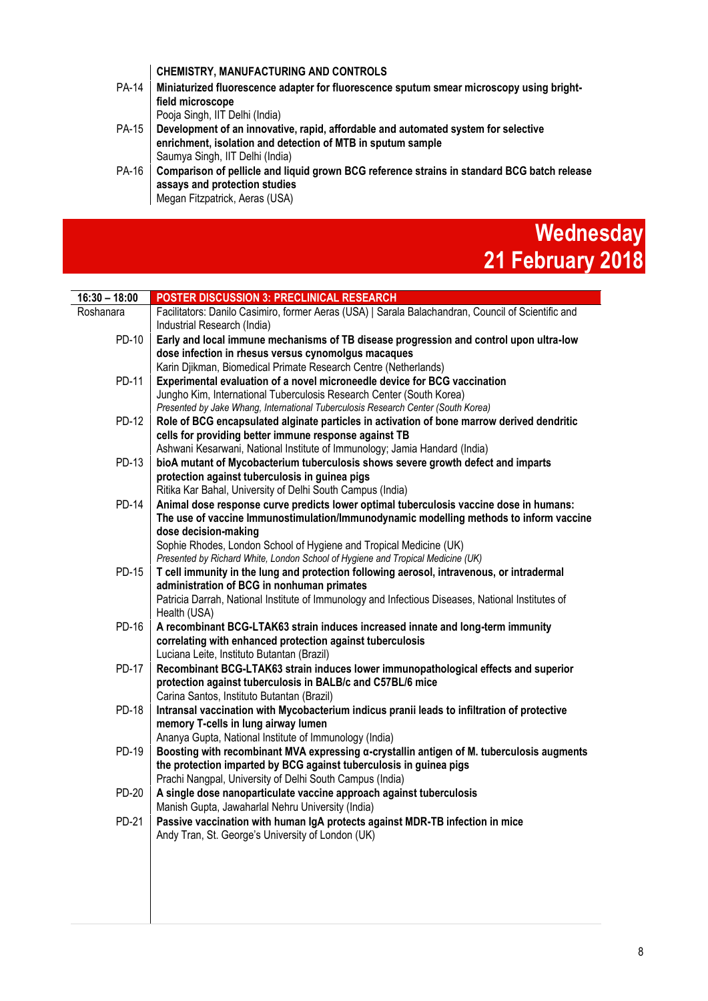#### **CHEMISTRY, MANUFACTURING AND CONTROLS**

| <b>PA-14</b> | Miniaturized fluorescence adapter for fluorescence sputum smear microscopy using bright-<br>field microscope                                                                         |
|--------------|--------------------------------------------------------------------------------------------------------------------------------------------------------------------------------------|
|              | Pooja Singh, IIT Delhi (India)                                                                                                                                                       |
| <b>PA-15</b> | Development of an innovative, rapid, affordable and automated system for selective<br>enrichment, isolation and detection of MTB in sputum sample<br>Saumya Singh, IIT Delhi (India) |
| PA-16        | Comparison of pellicle and liquid grown BCG reference strains in standard BCG batch release<br>assays and protection studies<br>Megan Fitzpatrick, Aeras (USA)                       |

#### **Wednesday 21 February 2018**

| $16:30 - 18:00$ | POSTER DISCUSSION 3: PRECLINICAL RESEARCH                                                                    |
|-----------------|--------------------------------------------------------------------------------------------------------------|
| Roshanara       | Facilitators: Danilo Casimiro, former Aeras (USA)   Sarala Balachandran, Council of Scientific and           |
|                 | Industrial Research (India)                                                                                  |
| PD-10           | Early and local immune mechanisms of TB disease progression and control upon ultra-low                       |
|                 | dose infection in rhesus versus cynomolgus macaques                                                          |
|                 | Karin Djikman, Biomedical Primate Research Centre (Netherlands)                                              |
| PD-11           | Experimental evaluation of a novel microneedle device for BCG vaccination                                    |
|                 | Jungho Kim, International Tuberculosis Research Center (South Korea)                                         |
|                 | Presented by Jake Whang, International Tuberculosis Research Center (South Korea)                            |
| <b>PD-12</b>    | Role of BCG encapsulated alginate particles in activation of bone marrow derived dendritic                   |
|                 | cells for providing better immune response against TB                                                        |
|                 | Ashwani Kesarwani, National Institute of Immunology; Jamia Handard (India)                                   |
| PD-13           | bioA mutant of Mycobacterium tuberculosis shows severe growth defect and imparts                             |
|                 | protection against tuberculosis in guinea pigs<br>Ritika Kar Bahal, University of Delhi South Campus (India) |
| <b>PD-14</b>    | Animal dose response curve predicts lower optimal tuberculosis vaccine dose in humans:                       |
|                 | The use of vaccine Immunostimulation/Immunodynamic modelling methods to inform vaccine                       |
|                 | dose decision-making                                                                                         |
|                 | Sophie Rhodes, London School of Hygiene and Tropical Medicine (UK)                                           |
|                 | Presented by Richard White, London School of Hygiene and Tropical Medicine (UK)                              |
| <b>PD-15</b>    | T cell immunity in the lung and protection following aerosol, intravenous, or intradermal                    |
|                 | administration of BCG in nonhuman primates                                                                   |
|                 | Patricia Darrah, National Institute of Immunology and Infectious Diseases, National Institutes of            |
|                 | Health (USA)                                                                                                 |
| <b>PD-16</b>    | A recombinant BCG-LTAK63 strain induces increased innate and long-term immunity                              |
|                 | correlating with enhanced protection against tuberculosis                                                    |
|                 | Luciana Leite, Instituto Butantan (Brazil)                                                                   |
| <b>PD-17</b>    | Recombinant BCG-LTAK63 strain induces lower immunopathological effects and superior                          |
|                 | protection against tuberculosis in BALB/c and C57BL/6 mice<br>Carina Santos, Instituto Butantan (Brazil)     |
| PD-18           | Intransal vaccination with Mycobacterium indicus pranii leads to infiltration of protective                  |
|                 | memory T-cells in lung airway lumen                                                                          |
|                 | Ananya Gupta, National Institute of Immunology (India)                                                       |
| <b>PD-19</b>    | Boosting with recombinant MVA expressing a-crystallin antigen of M. tuberculosis augments                    |
|                 | the protection imparted by BCG against tuberculosis in guinea pigs                                           |
|                 | Prachi Nangpal, University of Delhi South Campus (India)                                                     |
| PD-20           | A single dose nanoparticulate vaccine approach against tuberculosis                                          |
|                 | Manish Gupta, Jawaharlal Nehru University (India)                                                            |
| <b>PD-21</b>    | Passive vaccination with human IgA protects against MDR-TB infection in mice                                 |
|                 | Andy Tran, St. George's University of London (UK)                                                            |
|                 |                                                                                                              |
|                 |                                                                                                              |
|                 |                                                                                                              |
|                 |                                                                                                              |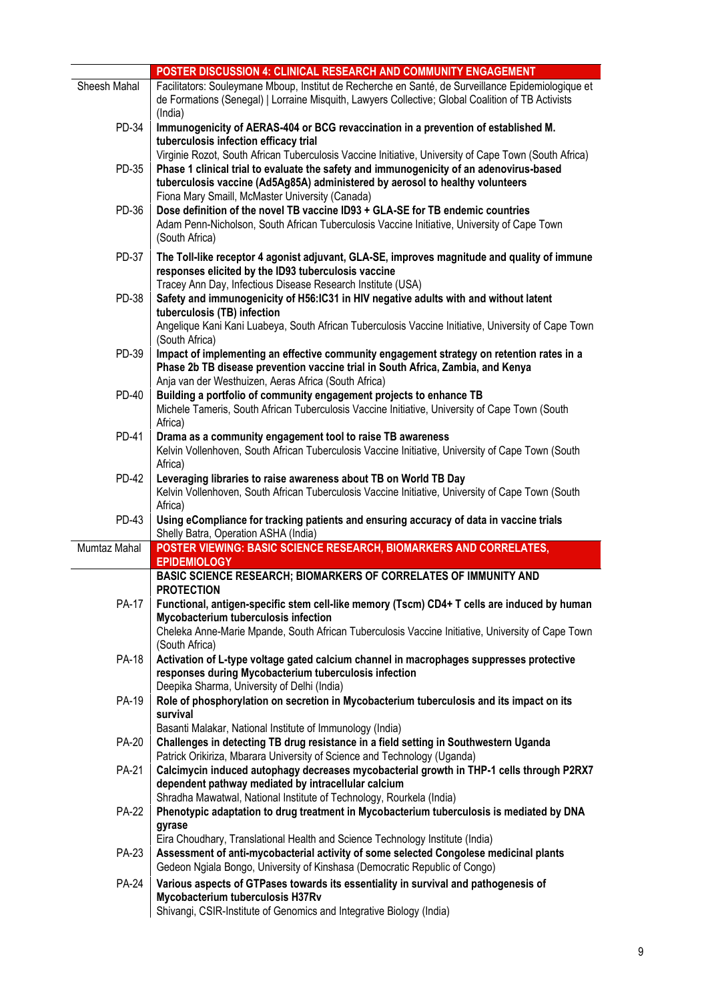|              | POSTER DISCUSSION 4: CLINICAL RESEARCH AND COMMUNITY ENGAGEMENT                                                                                                                                                                              |
|--------------|----------------------------------------------------------------------------------------------------------------------------------------------------------------------------------------------------------------------------------------------|
| Sheesh Mahal | Facilitators: Souleymane Mboup, Institut de Recherche en Santé, de Surveillance Epidemiologique et<br>de Formations (Senegal)   Lorraine Misquith, Lawyers Collective; Global Coalition of TB Activists<br>(India)                           |
| PD-34        | Immunogenicity of AERAS-404 or BCG revaccination in a prevention of established M.<br>tuberculosis infection efficacy trial<br>Virginie Rozot, South African Tuberculosis Vaccine Initiative, University of Cape Town (South Africa)         |
| PD-35        | Phase 1 clinical trial to evaluate the safety and immunogenicity of an adenovirus-based<br>tuberculosis vaccine (Ad5Ag85A) administered by aerosol to healthy volunteers<br>Fiona Mary Smaill, McMaster University (Canada)                  |
| PD-36        | Dose definition of the novel TB vaccine ID93 + GLA-SE for TB endemic countries<br>Adam Penn-Nicholson, South African Tuberculosis Vaccine Initiative, University of Cape Town<br>(South Africa)                                              |
| PD-37        | The Toll-like receptor 4 agonist adjuvant, GLA-SE, improves magnitude and quality of immune<br>responses elicited by the ID93 tuberculosis vaccine<br>Tracey Ann Day, Infectious Disease Research Institute (USA)                            |
| PD-38        | Safety and immunogenicity of H56:IC31 in HIV negative adults with and without latent<br>tuberculosis (TB) infection<br>Angelique Kani Kani Luabeya, South African Tuberculosis Vaccine Initiative, University of Cape Town<br>(South Africa) |
| PD-39        | Impact of implementing an effective community engagement strategy on retention rates in a<br>Phase 2b TB disease prevention vaccine trial in South Africa, Zambia, and Kenya<br>Anja van der Westhuizen, Aeras Africa (South Africa)         |
| <b>PD-40</b> | Building a portfolio of community engagement projects to enhance TB<br>Michele Tameris, South African Tuberculosis Vaccine Initiative, University of Cape Town (South<br>Africa)                                                             |
| PD-41        | Drama as a community engagement tool to raise TB awareness<br>Kelvin Vollenhoven, South African Tuberculosis Vaccine Initiative, University of Cape Town (South<br>Africa)                                                                   |
| <b>PD-42</b> | Leveraging libraries to raise awareness about TB on World TB Day<br>Kelvin Vollenhoven, South African Tuberculosis Vaccine Initiative, University of Cape Town (South<br>Africa)                                                             |
| PD-43        | Using eCompliance for tracking patients and ensuring accuracy of data in vaccine trials<br>Shelly Batra, Operation ASHA (India)                                                                                                              |
| Mumtaz Mahal | POSTER VIEWING: BASIC SCIENCE RESEARCH, BIOMARKERS AND CORRELATES,<br><b>EPIDEMIOLOGY</b><br>BASIC SCIENCE RESEARCH; BIOMARKERS OF CORRELATES OF IMMUNITY AND                                                                                |
|              | <b>PROTECTION</b>                                                                                                                                                                                                                            |
| <b>PA-17</b> | Functional, antigen-specific stem cell-like memory (Tscm) CD4+ T cells are induced by human                                                                                                                                                  |
|              | Mycobacterium tuberculosis infection                                                                                                                                                                                                         |
|              | Cheleka Anne-Marie Mpande, South African Tuberculosis Vaccine Initiative, University of Cape Town<br>(South Africa)                                                                                                                          |
| PA-18        | Activation of L-type voltage gated calcium channel in macrophages suppresses protective<br>responses during Mycobacterium tuberculosis infection<br>Deepika Sharma, University of Delhi (India)                                              |
| PA-19        | Role of phosphorylation on secretion in Mycobacterium tuberculosis and its impact on its<br>survival                                                                                                                                         |
| <b>PA-20</b> | Basanti Malakar, National Institute of Immunology (India)<br>Challenges in detecting TB drug resistance in a field setting in Southwestern Uganda<br>Patrick Orikiriza, Mbarara University of Science and Technology (Uganda)                |
| <b>PA-21</b> | Calcimycin induced autophagy decreases mycobacterial growth in THP-1 cells through P2RX7<br>dependent pathway mediated by intracellular calcium                                                                                              |
| <b>PA-22</b> | Shradha Mawatwal, National Institute of Technology, Rourkela (India)<br>Phenotypic adaptation to drug treatment in Mycobacterium tuberculosis is mediated by DNA<br>gyrase                                                                   |
| PA-23        | Eira Choudhary, Translational Health and Science Technology Institute (India)<br>Assessment of anti-mycobacterial activity of some selected Congolese medicinal plants                                                                       |
|              | Gedeon Ngiala Bongo, University of Kinshasa (Democratic Republic of Congo)                                                                                                                                                                   |
| <b>PA-24</b> | Various aspects of GTPases towards its essentiality in survival and pathogenesis of<br>Mycobacterium tuberculosis H37Rv<br>Shivangi, CSIR-Institute of Genomics and Integrative Biology (India)                                              |